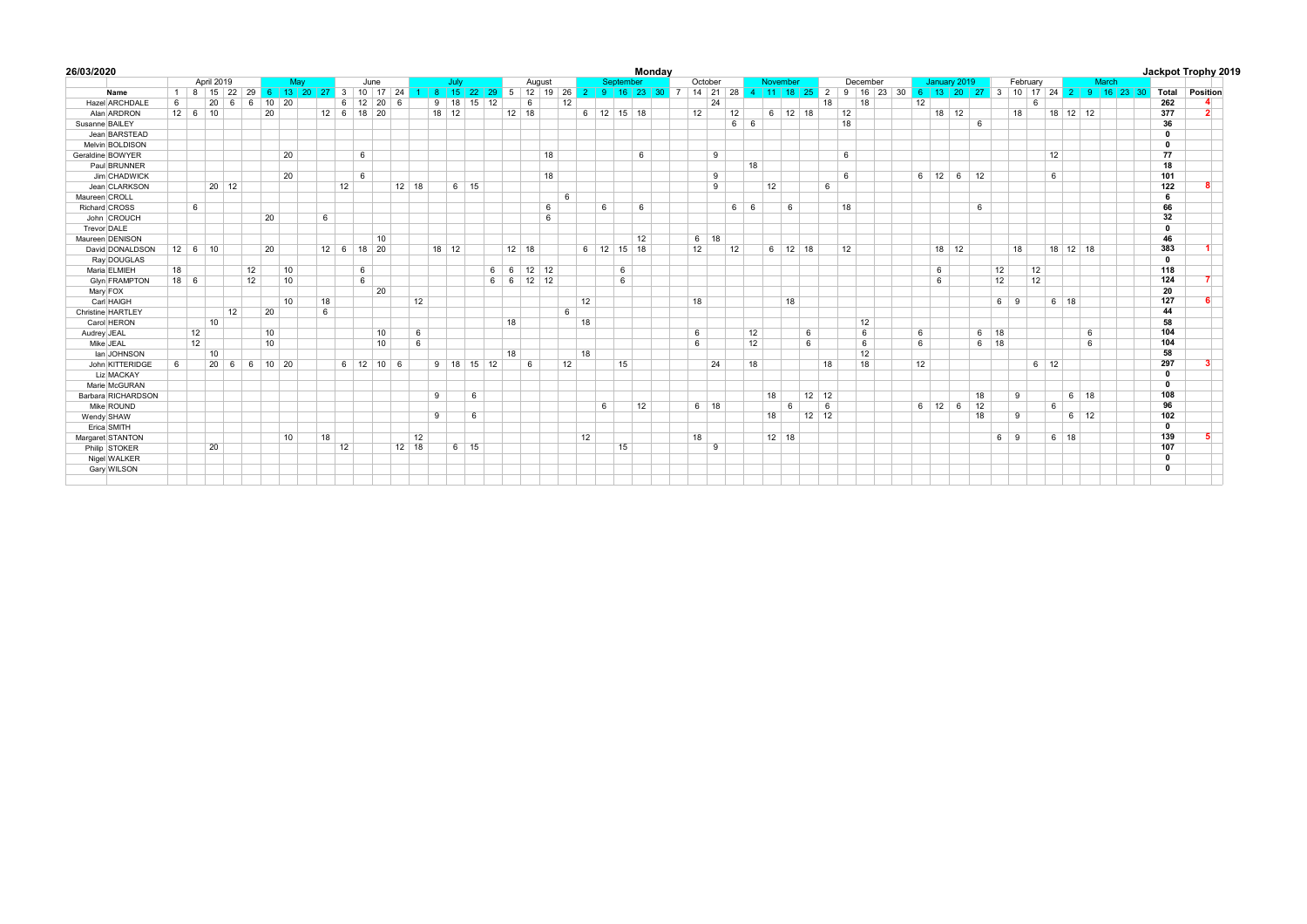|    |    |              |                                                              |                                     |                               |                                  |                                                            |  |                 |                               |                      |                                              |                                     |                           |                              |                                             |                       |                                                                            |                                |    |                      |        | <b>Mondav</b>      |                                                             |                                |                                                                       |                                                                |          |                                         |                           |                                                          |                                                        |  |                    |                                      |                                            |                                                |                                        |                                                |                                     |                            |                                                           |       |                                               | Jackpot Trophy 2019                                                              |
|----|----|--------------|--------------------------------------------------------------|-------------------------------------|-------------------------------|----------------------------------|------------------------------------------------------------|--|-----------------|-------------------------------|----------------------|----------------------------------------------|-------------------------------------|---------------------------|------------------------------|---------------------------------------------|-----------------------|----------------------------------------------------------------------------|--------------------------------|----|----------------------|--------|--------------------|-------------------------------------------------------------|--------------------------------|-----------------------------------------------------------------------|----------------------------------------------------------------|----------|-----------------------------------------|---------------------------|----------------------------------------------------------|--------------------------------------------------------|--|--------------------|--------------------------------------|--------------------------------------------|------------------------------------------------|----------------------------------------|------------------------------------------------|-------------------------------------|----------------------------|-----------------------------------------------------------|-------|-----------------------------------------------|----------------------------------------------------------------------------------|
|    |    |              |                                                              |                                     | May                           |                                  |                                                            |  | June            |                               |                      |                                              |                                     |                           | July                         |                                             | August                |                                                                            |                                |    |                      |        |                    |                                                             |                                |                                                                       |                                                                |          |                                         | December                  |                                                          |                                                        |  |                    |                                      |                                            |                                                |                                        |                                                |                                     |                            |                                                           |       |                                               |                                                                                  |
|    |    |              |                                                              |                                     |                               |                                  |                                                            |  |                 |                               |                      |                                              |                                     |                           |                              |                                             |                       |                                                                            |                                |    |                      |        |                    |                                                             |                                |                                                                       |                                                                |          |                                         |                           |                                                          |                                                        |  |                    |                                      |                                            |                                                |                                        |                                                |                                     |                            |                                                           |       | Total                                         | Position                                                                         |
| 6  |    |              |                                                              |                                     |                               |                                  |                                                            |  |                 |                               | - 6                  |                                              |                                     |                           |                              |                                             |                       |                                                                            | 12 <sup>2</sup>                |    |                      |        |                    |                                                             |                                |                                                                       |                                                                |          |                                         |                           |                                                          |                                                        |  |                    |                                      |                                            |                                                | 6                                      |                                                |                                     |                            |                                                           |       |                                               |                                                                                  |
|    |    |              |                                                              |                                     |                               |                                  |                                                            |  |                 |                               |                      |                                              |                                     |                           |                              |                                             |                       |                                                                            |                                |    |                      |        |                    |                                                             | 12                             |                                                                       |                                                                |          |                                         |                           |                                                          |                                                        |  |                    |                                      |                                            |                                                |                                        |                                                |                                     |                            |                                                           |       |                                               | $\overline{2}$                                                                   |
|    |    |              |                                                              |                                     |                               |                                  |                                                            |  |                 |                               |                      |                                              |                                     |                           |                              |                                             |                       |                                                                            |                                |    |                      |        |                    |                                                             |                                |                                                                       |                                                                |          |                                         |                           |                                                          |                                                        |  |                    |                                      |                                            |                                                |                                        |                                                |                                     |                            |                                                           |       | 36                                            |                                                                                  |
|    |    |              |                                                              |                                     |                               |                                  |                                                            |  |                 |                               |                      |                                              |                                     |                           |                              |                                             |                       |                                                                            |                                |    |                      |        |                    |                                                             |                                |                                                                       |                                                                |          |                                         |                           |                                                          |                                                        |  |                    |                                      |                                            |                                                |                                        |                                                |                                     |                            |                                                           |       | $\overline{\mathbf{0}}$                       |                                                                                  |
|    |    |              |                                                              |                                     |                               |                                  |                                                            |  |                 |                               |                      |                                              |                                     |                           |                              |                                             |                       |                                                                            |                                |    |                      |        |                    |                                                             |                                |                                                                       |                                                                |          |                                         |                           |                                                          |                                                        |  |                    |                                      |                                            |                                                |                                        |                                                |                                     |                            |                                                           |       | $^{\circ}$                                    |                                                                                  |
|    |    |              |                                                              |                                     |                               |                                  |                                                            |  |                 |                               |                      |                                              |                                     |                           |                              |                                             |                       | 18                                                                         |                                |    |                      |        |                    |                                                             |                                |                                                                       |                                                                |          |                                         |                           |                                                          |                                                        |  |                    |                                      |                                            |                                                |                                        | 12                                             |                                     |                            |                                                           |       | 77                                            |                                                                                  |
|    |    |              |                                                              |                                     |                               |                                  |                                                            |  |                 |                               |                      |                                              |                                     |                           |                              |                                             |                       |                                                                            |                                |    |                      |        |                    |                                                             |                                | 18                                                                    |                                                                |          |                                         |                           |                                                          |                                                        |  |                    |                                      |                                            |                                                |                                        |                                                |                                     |                            |                                                           |       | 18                                            |                                                                                  |
|    |    |              |                                                              |                                     |                               |                                  |                                                            |  | $6\overline{6}$ |                               |                      |                                              |                                     |                           |                              |                                             |                       | 18                                                                         |                                |    |                      |        |                    |                                                             |                                |                                                                       |                                                                |          |                                         | 6                         |                                                          |                                                        |  |                    |                                      |                                            |                                                |                                        | 6                                              |                                     |                            |                                                           |       | 101                                           |                                                                                  |
|    |    |              |                                                              |                                     |                               |                                  |                                                            |  |                 |                               |                      |                                              |                                     |                           |                              |                                             |                       |                                                                            |                                |    |                      |        |                    |                                                             |                                |                                                                       | 12                                                             |          |                                         |                           |                                                          |                                                        |  |                    |                                      |                                            |                                                |                                        |                                                |                                     |                            |                                                           |       | 122                                           |                                                                                  |
|    |    |              |                                                              |                                     |                               |                                  |                                                            |  |                 |                               |                      |                                              |                                     |                           |                              |                                             |                       |                                                                            | 6                              |    |                      |        |                    |                                                             |                                |                                                                       |                                                                |          |                                         |                           |                                                          |                                                        |  |                    |                                      |                                            |                                                |                                        |                                                |                                     |                            |                                                           |       | 6                                             |                                                                                  |
|    | 6  |              |                                                              |                                     |                               |                                  |                                                            |  |                 |                               |                      |                                              |                                     |                           |                              |                                             |                       | 6                                                                          |                                |    |                      |        |                    |                                                             |                                |                                                                       |                                                                | 6        |                                         |                           |                                                          |                                                        |  |                    |                                      |                                            |                                                |                                        |                                                |                                     |                            |                                                           |       | 66                                            |                                                                                  |
|    |    |              |                                                              |                                     |                               |                                  | 6                                                          |  |                 |                               |                      |                                              |                                     |                           |                              |                                             |                       | 6                                                                          |                                |    |                      |        |                    |                                                             |                                |                                                                       |                                                                |          |                                         |                           |                                                          |                                                        |  |                    |                                      |                                            |                                                |                                        |                                                |                                     |                            |                                                           |       | 32                                            |                                                                                  |
|    |    |              |                                                              |                                     |                               |                                  |                                                            |  |                 |                               |                      |                                              |                                     |                           |                              |                                             |                       |                                                                            |                                |    |                      |        |                    |                                                             |                                |                                                                       |                                                                |          |                                         |                           |                                                          |                                                        |  |                    |                                      |                                            |                                                |                                        |                                                |                                     |                            |                                                           |       | $\mathbf 0$                                   |                                                                                  |
|    |    |              |                                                              |                                     |                               |                                  |                                                            |  |                 | 10                            |                      |                                              |                                     |                           |                              |                                             |                       |                                                                            |                                |    |                      |        |                    |                                                             |                                |                                                                       |                                                                |          |                                         |                           |                                                          |                                                        |  |                    |                                      |                                            |                                                |                                        |                                                |                                     |                            |                                                           |       | 46                                            |                                                                                  |
|    |    |              |                                                              |                                     |                               |                                  |                                                            |  |                 |                               |                      |                                              |                                     |                           |                              |                                             |                       |                                                                            |                                |    |                      |        |                    |                                                             | 12                             |                                                                       |                                                                |          |                                         |                           |                                                          |                                                        |  |                    |                                      |                                            |                                                |                                        |                                                |                                     |                            |                                                           |       | 383                                           |                                                                                  |
|    |    |              |                                                              |                                     |                               |                                  |                                                            |  |                 |                               |                      |                                              |                                     |                           |                              |                                             |                       |                                                                            |                                |    |                      |        |                    |                                                             |                                |                                                                       |                                                                |          |                                         |                           |                                                          |                                                        |  |                    |                                      |                                            |                                                |                                        |                                                |                                     |                            |                                                           |       | $\mathbf{0}$                                  |                                                                                  |
| 18 |    |              |                                                              |                                     |                               |                                  |                                                            |  |                 |                               |                      |                                              |                                     |                           |                              |                                             |                       |                                                                            |                                |    |                      |        |                    |                                                             |                                |                                                                       |                                                                |          |                                         |                           |                                                          |                                                        |  |                    |                                      |                                            |                                                |                                        |                                                |                                     |                            |                                                           |       | 118                                           |                                                                                  |
|    |    |              |                                                              |                                     |                               |                                  |                                                            |  |                 |                               |                      |                                              |                                     |                           |                              |                                             |                       |                                                                            |                                |    |                      |        |                    |                                                             |                                |                                                                       |                                                                |          |                                         |                           |                                                          |                                                        |  |                    |                                      |                                            |                                                |                                        |                                                |                                     |                            |                                                           |       | 124                                           |                                                                                  |
|    |    |              |                                                              |                                     |                               |                                  |                                                            |  |                 | 20                            |                      |                                              |                                     |                           |                              |                                             |                       |                                                                            |                                |    |                      |        |                    |                                                             |                                |                                                                       |                                                                |          |                                         |                           |                                                          |                                                        |  |                    |                                      |                                            |                                                |                                        |                                                |                                     |                            |                                                           |       | 20                                            |                                                                                  |
|    |    |              |                                                              |                                     |                               |                                  |                                                            |  |                 |                               |                      |                                              |                                     |                           |                              |                                             |                       |                                                                            |                                |    |                      |        |                    |                                                             |                                |                                                                       |                                                                | 18       |                                         |                           |                                                          |                                                        |  |                    |                                      |                                            |                                                |                                        |                                                |                                     |                            |                                                           |       |                                               |                                                                                  |
|    |    |              |                                                              |                                     |                               |                                  | 6                                                          |  |                 |                               |                      |                                              |                                     |                           |                              |                                             |                       |                                                                            | 6                              |    |                      |        |                    |                                                             |                                |                                                                       |                                                                |          |                                         |                           |                                                          |                                                        |  |                    |                                      |                                            |                                                |                                        |                                                |                                     |                            |                                                           |       | 44                                            |                                                                                  |
|    |    |              |                                                              |                                     |                               |                                  |                                                            |  |                 |                               |                      |                                              |                                     |                           |                              |                                             |                       |                                                                            |                                |    |                      |        |                    |                                                             |                                |                                                                       |                                                                |          |                                         |                           |                                                          |                                                        |  |                    |                                      |                                            |                                                |                                        |                                                |                                     |                            |                                                           |       | 58                                            |                                                                                  |
|    | 12 |              |                                                              |                                     |                               |                                  |                                                            |  |                 |                               |                      | 6                                            |                                     |                           |                              |                                             |                       |                                                                            |                                |    |                      |        |                    |                                                             |                                | 12                                                                    |                                                                |          |                                         |                           | 6                                                        |                                                        |  |                    |                                      |                                            |                                                |                                        |                                                |                                     | 6                          |                                                           |       | 104                                           |                                                                                  |
|    |    |              |                                                              |                                     |                               |                                  |                                                            |  |                 |                               |                      |                                              |                                     |                           |                              |                                             |                       |                                                                            |                                |    |                      |        |                    |                                                             |                                |                                                                       |                                                                |          |                                         |                           |                                                          |                                                        |  |                    |                                      |                                            |                                                |                                        |                                                |                                     |                            |                                                           |       | 104                                           |                                                                                  |
|    |    |              |                                                              |                                     |                               |                                  |                                                            |  |                 |                               |                      |                                              |                                     |                           |                              |                                             |                       |                                                                            |                                |    |                      |        |                    |                                                             |                                |                                                                       |                                                                |          |                                         |                           |                                                          |                                                        |  |                    |                                      |                                            |                                                |                                        |                                                |                                     |                            |                                                           |       |                                               |                                                                                  |
|    |    |              |                                                              |                                     |                               |                                  |                                                            |  |                 |                               |                      |                                              |                                     |                           |                              |                                             |                       |                                                                            |                                |    |                      |        |                    |                                                             |                                |                                                                       |                                                                |          |                                         |                           |                                                          |                                                        |  |                    |                                      |                                            |                                                |                                        |                                                |                                     |                            |                                                           |       | 297                                           |                                                                                  |
|    |    |              |                                                              |                                     |                               |                                  |                                                            |  |                 |                               |                      |                                              |                                     |                           |                              |                                             |                       |                                                                            |                                |    |                      |        |                    |                                                             |                                |                                                                       |                                                                |          |                                         |                           |                                                          |                                                        |  |                    |                                      |                                            |                                                |                                        |                                                |                                     |                            |                                                           |       | $\mathbf 0$                                   |                                                                                  |
|    |    |              |                                                              |                                     |                               |                                  |                                                            |  |                 |                               |                      |                                              |                                     |                           |                              |                                             |                       |                                                                            |                                |    |                      |        |                    |                                                             |                                |                                                                       |                                                                |          |                                         |                           |                                                          |                                                        |  |                    |                                      |                                            |                                                |                                        |                                                |                                     |                            |                                                           |       | $\mathbf 0$                                   |                                                                                  |
|    |    |              |                                                              |                                     |                               |                                  |                                                            |  |                 |                               |                      |                                              | 9                                   |                           | 6                            |                                             |                       |                                                                            |                                |    |                      |        |                    |                                                             |                                |                                                                       |                                                                |          |                                         |                           |                                                          |                                                        |  |                    |                                      |                                            |                                                |                                        |                                                |                                     |                            |                                                           |       | 108                                           |                                                                                  |
|    |    |              |                                                              |                                     |                               |                                  |                                                            |  |                 |                               |                      |                                              |                                     |                           |                              |                                             |                       |                                                                            |                                |    |                      |        |                    |                                                             |                                |                                                                       |                                                                | 6        |                                         |                           |                                                          |                                                        |  |                    |                                      |                                            |                                                |                                        | 6                                              |                                     |                            |                                                           |       |                                               |                                                                                  |
|    |    |              |                                                              |                                     |                               |                                  |                                                            |  |                 |                               |                      |                                              | 9                                   |                           |                              |                                             |                       |                                                                            |                                |    |                      |        |                    |                                                             |                                |                                                                       |                                                                |          |                                         |                           |                                                          |                                                        |  |                    |                                      |                                            |                                                |                                        |                                                |                                     |                            |                                                           |       |                                               |                                                                                  |
|    |    |              |                                                              |                                     |                               |                                  |                                                            |  |                 |                               |                      |                                              |                                     |                           |                              |                                             |                       |                                                                            |                                |    |                      |        |                    |                                                             |                                |                                                                       |                                                                |          |                                         |                           |                                                          |                                                        |  |                    |                                      |                                            |                                                |                                        |                                                |                                     |                            |                                                           |       | $\mathbf 0$                                   |                                                                                  |
|    |    |              |                                                              |                                     |                               |                                  |                                                            |  |                 |                               |                      |                                              |                                     |                           |                              |                                             |                       |                                                                            |                                |    |                      |        |                    |                                                             |                                |                                                                       |                                                                |          |                                         |                           |                                                          |                                                        |  |                    |                                      |                                            |                                                |                                        |                                                |                                     |                            |                                                           |       |                                               |                                                                                  |
|    |    |              |                                                              |                                     |                               |                                  |                                                            |  |                 |                               |                      |                                              |                                     |                           |                              |                                             |                       |                                                                            |                                |    |                      |        |                    |                                                             |                                |                                                                       |                                                                |          |                                         |                           |                                                          |                                                        |  |                    |                                      |                                            |                                                |                                        |                                                |                                     |                            |                                                           |       |                                               |                                                                                  |
|    |    |              |                                                              |                                     |                               |                                  |                                                            |  |                 |                               |                      |                                              |                                     |                           |                              |                                             |                       |                                                                            |                                |    |                      |        |                    |                                                             |                                |                                                                       |                                                                |          |                                         |                           |                                                          |                                                        |  |                    |                                      |                                            |                                                |                                        |                                                |                                     |                            |                                                           |       |                                               |                                                                                  |
|    |    |              |                                                              |                                     |                               |                                  |                                                            |  |                 |                               |                      |                                              |                                     |                           |                              |                                             |                       |                                                                            |                                |    |                      |        |                    |                                                             |                                |                                                                       |                                                                |          |                                         |                           |                                                          |                                                        |  |                    |                                      |                                            |                                                |                                        |                                                |                                     |                            |                                                           |       |                                               |                                                                                  |
|    | 6  | $18$ 6<br>12 | 20<br>$12 \ 6 \ 10$<br>$12 \ 6 \ 10$<br>10<br>10<br>20<br>20 | April 2019<br>6<br>20 12<br>12<br>6 | 1 8 15 22 29<br>6<br>12<br>12 | 20<br>20<br>20<br>20<br>10<br>10 | $10\quad20$<br>20<br>20<br>10<br>10<br>10<br>6 10 20<br>10 |  | 18<br>18        | 6<br>$12 \quad 6$<br>12<br>12 | 18 20<br>6<br>6<br>6 | 12 20<br>12 6 18 20<br>10<br>10<br>6 12 10 6 | $12$ 18<br>12<br>6<br>12<br>$12$ 18 | 6 13 20 27 3 10 17 24 1 8 | $9$ 18<br>$18$ 12<br>$18$ 12 | $15$ 22<br>15<br>$6$ 15<br>6<br>$6 \mid 15$ | 12<br>6<br>9 18 15 12 | 6<br>$12 \quad 18$<br>$12 \mid 18$<br>$6 -$<br>$6 \mid 6$<br>18<br>18<br>6 | $12 \quad 12$<br>$12 \quad 12$ | 12 | 12<br>18<br>18<br>12 | 6<br>6 | 6<br>6<br>15<br>15 | September<br>6 12 15 18<br>6<br>6<br>12<br>6 12 15 18<br>12 | 12<br>12<br>18<br>6<br>6<br>18 | October<br>24<br>9<br>9<br>9<br>$6 \mid 18$<br>24<br>$6 \mid 18$<br>9 | 29 5 12 19 26 2 9 16 23 30 7 14 21 28<br>66<br>6 6<br>12<br>18 | 18<br>18 | November<br>$6 \mid 12$<br>$12 \mid 18$ | 18<br>$6$ 12 18<br>6<br>6 | 4 11 18 25 2<br>18<br>6<br>18<br>$12$ 12<br>6<br>$12$ 12 | 18<br>12<br>18<br>6<br>18<br>12<br>12<br>6<br>12<br>18 |  | 12<br>6<br>6<br>12 | $6 \mid 12$<br>6<br>6<br>$6 \mid 12$ | $18$ 12<br>$6\overline{6}$<br>$18$ 12<br>6 | January 2019<br>6<br>12<br>6<br>18<br>12<br>18 | 12<br>12<br>$6 \mid 18$<br>$6 \mid 18$ | 18<br>18<br>$6 \mid 9$<br>9<br>9<br>$6 \mid 9$ | February<br>12<br>12<br>$6 \mid 12$ | $6 \mid 18$<br>$6 \mid 18$ | 18 12 12<br>$18$ 12 18<br>6<br>$6 \mid 18$<br>$6 \mid 12$ | March | 9 16 23 30 6 13 20 27 3 10 17 24 2 9 16 23 30 | 262<br>377<br>127<br>58<br>96<br>102<br>139<br>107<br>$\mathbf 0$<br>$\mathbf 0$ |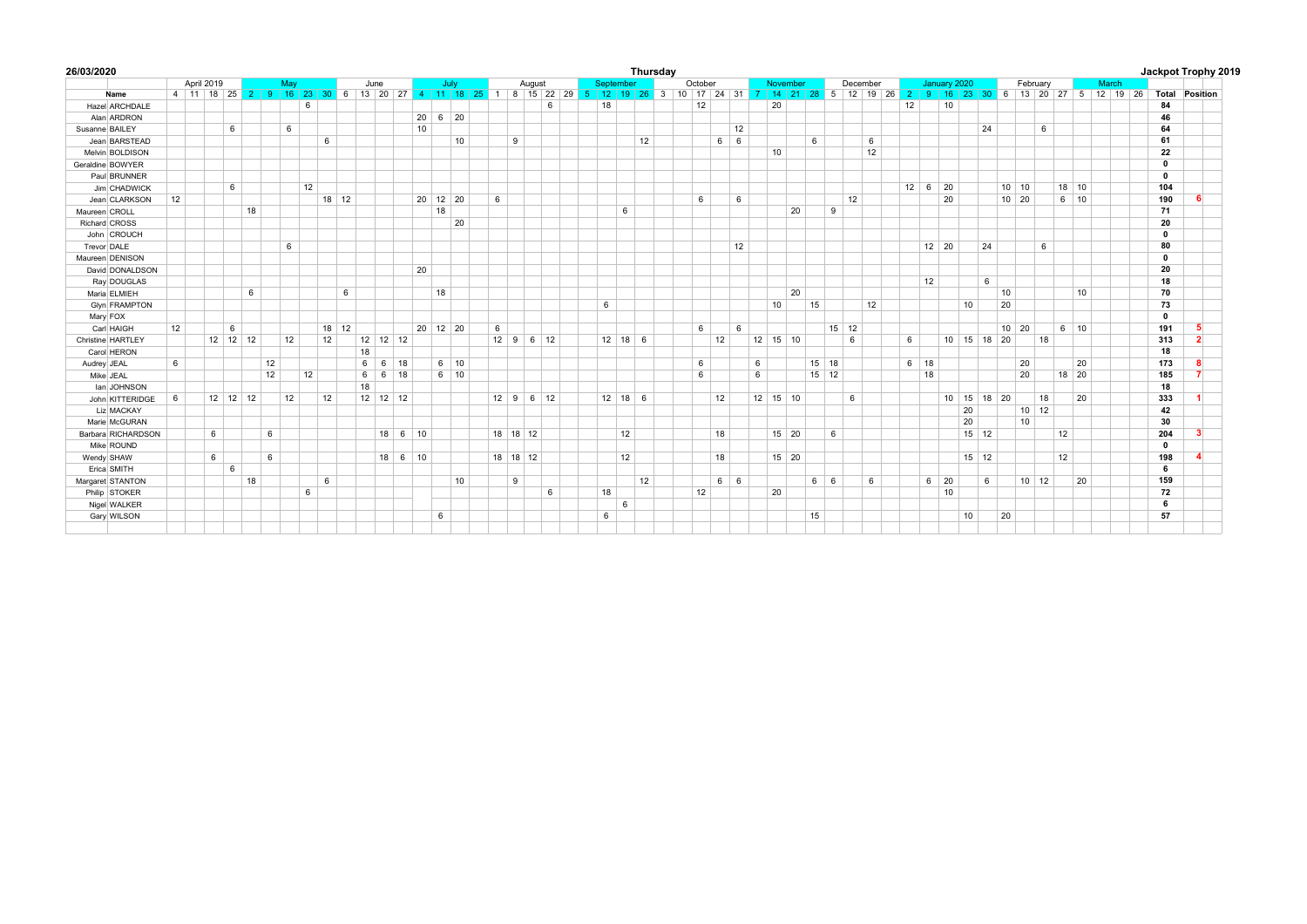| 26/03/2020           |    |            |            |    |     |    |         |                |             |               |                      |                 |            |   |                            |                                                                                                                                              |           |    | Thursday |         |            |    |                 |              |    |              |          |    |    |             |                     |    |                              |              |                    |    |    |              |       |              |                       | Jackpot Trophy 2019 |
|----------------------|----|------------|------------|----|-----|----|---------|----------------|-------------|---------------|----------------------|-----------------|------------|---|----------------------------|----------------------------------------------------------------------------------------------------------------------------------------------|-----------|----|----------|---------|------------|----|-----------------|--------------|----|--------------|----------|----|----|-------------|---------------------|----|------------------------------|--------------|--------------------|----|----|--------------|-------|--------------|-----------------------|---------------------|
|                      |    | April 2019 |            |    | May |    |         | June           |             |               |                      | July            |            |   | August                     |                                                                                                                                              | September |    |          | October |            |    |                 | November     |    |              | December |    |    |             | January 2020        |    |                              |              | February           |    |    |              | March |              |                       |                     |
| Name                 |    |            |            |    |     |    |         |                |             |               |                      |                 |            |   |                            | 4 11 18 25 2 9 16 23 30 6 13 20 27 4 11 18 25 1 8 15 22 29 5 12 19 26 3 10 17 24 31 7 14 21 28 5 12 19 26 2 9 16 23 30 6 13 20 27 5 12 19 26 |           |    |          |         |            |    |                 |              |    |              |          |    |    |             |                     |    |                              |              |                    |    |    |              |       |              | <b>Total Position</b> |                     |
| Hazel ARCHDALF       |    |            |            |    | 6   |    |         |                |             |               |                      |                 |            |   | 6                          |                                                                                                                                              | 18        |    |          | 12      |            |    | 20              |              |    |              |          |    | 12 |             | 10                  |    |                              |              |                    |    |    |              |       | 84           |                       |                     |
| Alan ARDRON          |    |            |            |    |     |    |         |                |             |               | $20 \t6 \t20$        |                 |            |   |                            |                                                                                                                                              |           |    |          |         |            |    |                 |              |    |              |          |    |    |             |                     |    |                              |              |                    |    |    |              |       | 46           |                       |                     |
| Susanne BAILEY       |    |            | 6          |    | 6   |    |         |                |             |               | 10                   |                 |            |   |                            |                                                                                                                                              |           |    |          |         |            | 12 |                 |              |    |              |          |    |    |             |                     |    | 24                           |              |                    | 6  |    |              |       | 64           |                       |                     |
| Jean BARSTEAD        |    |            |            |    |     | 6  |         |                |             |               |                      | 10              |            | 9 |                            |                                                                                                                                              |           |    | 12       |         | $6 \mid 6$ |    |                 |              | 6  |              |          | 6  |    |             |                     |    |                              |              |                    |    |    |              |       | 61           |                       |                     |
| Melvin BOLDISON      |    |            |            |    |     |    |         |                |             |               |                      |                 |            |   |                            |                                                                                                                                              |           |    |          |         |            |    | 10              |              |    |              |          | 12 |    |             |                     |    |                              |              |                    |    |    |              |       | 22           |                       |                     |
| Geraldine BOWYER     |    |            |            |    |     |    |         |                |             |               |                      |                 |            |   |                            |                                                                                                                                              |           |    |          |         |            |    |                 |              |    |              |          |    |    |             |                     |    |                              |              |                    |    |    |              |       | $\mathbf{0}$ |                       |                     |
| Paul BRUNNER         |    |            |            |    |     |    |         |                |             |               |                      |                 |            |   |                            |                                                                                                                                              |           |    |          |         |            |    |                 |              |    |              |          |    |    |             |                     |    |                              |              |                    |    |    |              |       | $\mathbf 0$  |                       |                     |
| Jim CHADWICK         |    |            | 6          |    | 12  |    |         |                |             |               |                      |                 |            |   |                            |                                                                                                                                              |           |    |          |         |            |    |                 |              |    |              |          |    |    |             | $12 \mid 6 \mid 20$ |    |                              |              | $10 \mid 10$       |    |    | $18 \mid 10$ |       | 104          |                       |                     |
| Jean CLARKSON        | 12 |            |            |    |     |    | $18$ 12 |                |             |               | $20 \mid 12 \mid 20$ |                 | 6          |   |                            |                                                                                                                                              |           |    |          | 6       |            | 6  |                 |              |    |              | 12       |    |    |             | 20                  |    |                              | $10 \mid 20$ |                    |    |    | $6 \mid 10$  |       | 190          |                       |                     |
| Maureen CROLL        |    |            | 18         |    |     |    |         |                |             |               | 18                   |                 |            |   |                            |                                                                                                                                              |           | 6  |          |         |            |    |                 | 20           |    | 9            |          |    |    |             |                     |    |                              |              |                    |    |    |              |       | 71           |                       |                     |
| Richard CROSS        |    |            |            |    |     |    |         |                |             |               |                      | 20              |            |   |                            |                                                                                                                                              |           |    |          |         |            |    |                 |              |    |              |          |    |    |             |                     |    |                              |              |                    |    |    |              |       | 20           |                       |                     |
| John CROUCH          |    |            |            |    |     |    |         |                |             |               |                      |                 |            |   |                            |                                                                                                                                              |           |    |          |         |            |    |                 |              |    |              |          |    |    |             |                     |    |                              |              |                    |    |    |              |       | $\mathbf 0$  |                       |                     |
| Trevor DALE          |    |            |            |    | 6   |    |         |                |             |               |                      |                 |            |   |                            |                                                                                                                                              |           |    |          |         |            | 12 |                 |              |    |              |          |    |    |             | $12 \mid 20$        |    | 24                           |              |                    | 6  |    |              |       | 80           |                       |                     |
| Maureen DENISON      |    |            |            |    |     |    |         |                |             |               |                      |                 |            |   |                            |                                                                                                                                              |           |    |          |         |            |    |                 |              |    |              |          |    |    |             |                     |    |                              |              |                    |    |    |              |       | $\mathbf 0$  |                       |                     |
| David DONALDSON      |    |            |            |    |     |    |         |                |             |               | 20                   |                 |            |   |                            |                                                                                                                                              |           |    |          |         |            |    |                 |              |    |              |          |    |    |             |                     |    |                              |              |                    |    |    |              |       | 20           |                       |                     |
| Ray DOUGLAS          |    |            |            |    |     |    |         |                |             |               |                      |                 |            |   |                            |                                                                                                                                              |           |    |          |         |            |    |                 |              |    |              |          |    |    | 12          |                     |    | 6                            |              |                    |    |    |              |       | 18           |                       |                     |
| Maria ELMIEH         |    |            | 6          |    |     |    | 6       |                |             |               | 18                   |                 |            |   |                            |                                                                                                                                              |           |    |          |         |            |    |                 | 20           |    |              |          |    |    |             |                     |    |                              | 10           |                    |    |    | 10           |       | 70           |                       |                     |
| <b>Glyn FRAMPTON</b> |    |            |            |    |     |    |         |                |             |               |                      |                 |            |   |                            |                                                                                                                                              | 6         |    |          |         |            |    | 10 <sup>1</sup> |              | 15 |              |          | 12 |    |             |                     | 10 |                              | 20           |                    |    |    |              |       | 73           |                       |                     |
| Mary FOX             |    |            |            |    |     |    |         |                |             |               |                      |                 |            |   |                            |                                                                                                                                              |           |    |          |         |            |    |                 |              |    |              |          |    |    |             |                     |    |                              |              |                    |    |    |              |       | $\mathbf 0$  |                       |                     |
| Carl HAIGH           | 12 |            | 6          |    |     |    | 18 12   |                |             |               | $20 \mid 12 \mid 20$ |                 | 6          |   |                            |                                                                                                                                              |           |    |          | 6       |            | 6  |                 |              |    | $15 \mid 12$ |          |    |    |             |                     |    |                              | $10 \mid 20$ |                    |    |    | $6 \mid 10$  |       | 191          | 5.                    |                     |
| Christine HARTLEY    |    |            | $12$ 12 12 |    | 12  | 12 |         | $12$ 12 12     |             |               |                      |                 |            |   | $12 \mid 9 \mid 6 \mid 12$ |                                                                                                                                              | $12$ 18 6 |    |          |         | 12         |    | $12$ 15 10      |              |    |              | 6        |    | 6  |             |                     |    | $10 \mid 15 \mid 18 \mid 20$ |              |                    | 18 |    |              |       | 313          | $\overline{2}$        |                     |
| Carol HERON          |    |            |            |    |     |    |         | 18             |             |               |                      |                 |            |   |                            |                                                                                                                                              |           |    |          |         |            |    |                 |              |    |              |          |    |    |             |                     |    |                              |              |                    |    |    |              |       | 18           |                       |                     |
| Audrey JEAL          | 6  |            |            | 12 |     |    |         | 6              | $6 \mid 18$ |               |                      | $6 \mid 10$     |            |   |                            |                                                                                                                                              |           |    |          | 6       |            |    | 6               |              |    | $15 \mid 18$ |          |    |    | $6 \mid 18$ |                     |    |                              |              | 20                 |    |    | 20           |       | 173          | 8                     |                     |
| Mike JEAL            |    |            |            | 12 | 12  |    |         | 6 <sup>1</sup> | $6 \mid 18$ |               |                      | $6 \mid 10$     |            |   |                            |                                                                                                                                              |           |    |          | 6       |            |    | 6               |              |    | $15$ 12      |          |    |    | 18          |                     |    |                              |              | 20                 |    |    | 18 20        |       | 185          | $\overline{7}$        |                     |
| lan JOHNSON          |    |            |            |    |     |    |         | 18             |             |               |                      |                 |            |   |                            |                                                                                                                                              |           |    |          |         |            |    |                 |              |    |              |          |    |    |             |                     |    |                              |              |                    |    |    |              |       | 18           |                       |                     |
| John KITTERIDGE      | 6  |            | $12$ 12 12 |    | 12  | 12 |         | $12$ 12 12     |             |               |                      |                 |            |   | $12 \mid 9 \mid 6 \mid 12$ |                                                                                                                                              | $12$ 18 6 |    |          |         | 12         |    | $12$ 15 10      |              |    |              | 6        |    |    |             |                     |    | $10$ 15 18 20                |              |                    | 18 |    | 20           |       | 333          |                       |                     |
| Liz MACKAY           |    |            |            |    |     |    |         |                |             |               |                      |                 |            |   |                            |                                                                                                                                              |           |    |          |         |            |    |                 |              |    |              |          |    |    |             |                     | 20 |                              |              | $10 \overline{12}$ |    |    |              |       | 42           |                       |                     |
| Marie McGURAN        |    |            |            |    |     |    |         |                |             |               |                      |                 |            |   |                            |                                                                                                                                              |           |    |          |         |            |    |                 |              |    |              |          |    |    |             |                     | 20 |                              |              | 10                 |    |    |              |       | 30           |                       |                     |
| Barbara RICHARDSON   |    | 6          |            | 6  |     |    |         |                |             | $18 \ 6 \ 10$ |                      |                 | $18$ 18 12 |   |                            |                                                                                                                                              |           | 12 |          |         | 18         |    |                 | $15 \mid 20$ |    | 6            |          |    |    |             |                     |    | $15 \mid 12$                 |              |                    |    | 12 |              |       | 204          | -3                    |                     |
| Mike ROUND           |    |            |            |    |     |    |         |                |             |               |                      |                 |            |   |                            |                                                                                                                                              |           |    |          |         |            |    |                 |              |    |              |          |    |    |             |                     |    |                              |              |                    |    |    |              |       | $\mathbf 0$  |                       |                     |
| Wendy SHAW           |    | 6          |            | 6  |     |    |         |                |             | $18$ 6 10     |                      |                 | 18 18 12   |   |                            |                                                                                                                                              |           | 12 |          |         | 18         |    |                 | 15 20        |    |              |          |    |    |             |                     |    | $15$ 12                      |              |                    |    | 12 |              |       | 198          |                       |                     |
| Erica SMITH          |    |            | 6          |    |     |    |         |                |             |               |                      |                 |            |   |                            |                                                                                                                                              |           |    |          |         |            |    |                 |              |    |              |          |    |    |             |                     |    |                              |              |                    |    |    |              |       | 6            |                       |                     |
| Margaret STANTON     |    |            | 18         |    |     | 6  |         |                |             |               |                      | 10 <sup>1</sup> |            | 9 |                            |                                                                                                                                              |           |    | 12       |         | $6 \mid 6$ |    |                 |              |    | $6 \mid 6$   |          | 6  |    |             | $6 \mid 20$         |    | 6                            |              | $10 \mid 12$       |    |    | 20           |       | 159          |                       |                     |
| Philip STOKER        |    |            |            |    | 6   |    |         |                |             |               |                      |                 |            |   | 6                          |                                                                                                                                              | 18        |    |          | 12      |            |    | 20              |              |    |              |          |    |    |             | 10                  |    |                              |              |                    |    |    |              |       | 72           |                       |                     |
| Nigel WALKER         |    |            |            |    |     |    |         |                |             |               |                      |                 |            |   |                            |                                                                                                                                              |           | 6  |          |         |            |    |                 |              |    |              |          |    |    |             |                     |    |                              |              |                    |    |    |              |       | 6            |                       |                     |
| Gary WILSON          |    |            |            |    |     |    |         |                |             |               | 6                    |                 |            |   |                            |                                                                                                                                              | 6         |    |          |         |            |    |                 |              | 15 |              |          |    |    |             |                     | 10 |                              | 20           |                    |    |    |              |       | 57           |                       |                     |
|                      |    |            |            |    |     |    |         |                |             |               |                      |                 |            |   |                            |                                                                                                                                              |           |    |          |         |            |    |                 |              |    |              |          |    |    |             |                     |    |                              |              |                    |    |    |              |       |              |                       |                     |